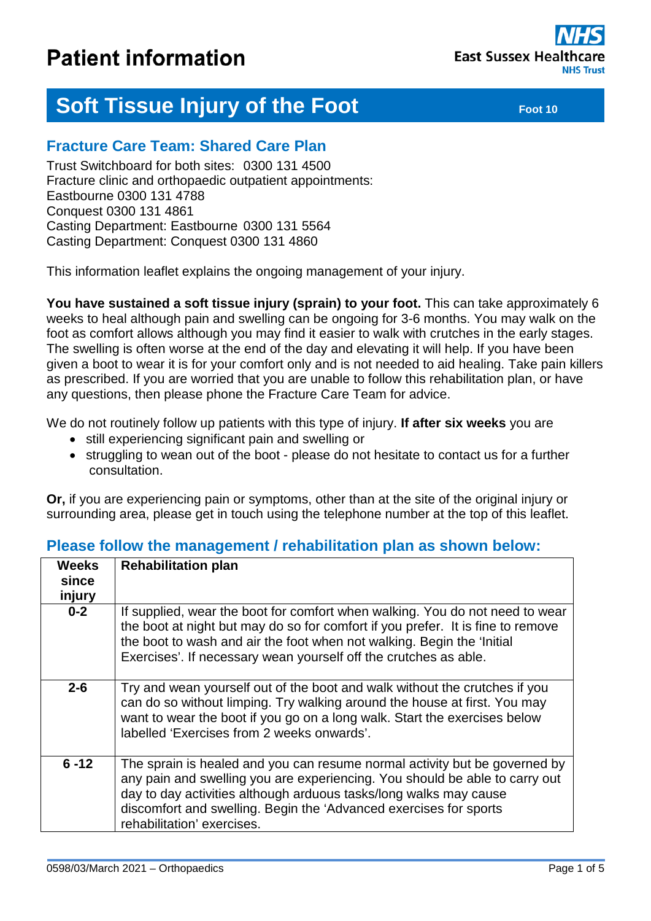

# **Soft Tissue Injury of the Foot Foot Foot 10** Foot 10

# **Fracture Care Team: Shared Care Plan**

Trust Switchboard for both sites: 0300 131 4500 Fracture clinic and orthopaedic outpatient appointments: Eastbourne 0300 131 4788 Conquest 0300 131 4861 Casting Department: Eastbourne 0300 131 5564 Casting Department: Conquest 0300 131 4860

This information leaflet explains the ongoing management of your injury.

**You have sustained a soft tissue injury (sprain) to your foot.** This can take approximately 6 weeks to heal although pain and swelling can be ongoing for 3-6 months. You may walk on the foot as comfort allows although you may find it easier to walk with crutches in the early stages. The swelling is often worse at the end of the day and elevating it will help. If you have been given a boot to wear it is for your comfort only and is not needed to aid healing. Take pain killers as prescribed. If you are worried that you are unable to follow this rehabilitation plan, or have any questions, then please phone the Fracture Care Team for advice.

We do not routinely follow up patients with this type of injury. **If after six weeks** you are

- still experiencing significant pain and swelling or
- struggling to wean out of the boot please do not hesitate to contact us for a further consultation.

**Or,** if you are experiencing pain or symptoms, other than at the site of the original injury or surrounding area, please get in touch using the telephone number at the top of this leaflet.

| <b>Weeks</b><br>since<br>injury | <b>Rehabilitation plan</b>                                                                                                                                                                                                                                                                                                        |
|---------------------------------|-----------------------------------------------------------------------------------------------------------------------------------------------------------------------------------------------------------------------------------------------------------------------------------------------------------------------------------|
| $0-2$                           | If supplied, wear the boot for comfort when walking. You do not need to wear<br>the boot at night but may do so for comfort if you prefer. It is fine to remove<br>the boot to wash and air the foot when not walking. Begin the 'Initial<br>Exercises'. If necessary wean yourself off the crutches as able.                     |
| $2 - 6$                         | Try and wean yourself out of the boot and walk without the crutches if you<br>can do so without limping. Try walking around the house at first. You may<br>want to wear the boot if you go on a long walk. Start the exercises below<br>labelled 'Exercises from 2 weeks onwards'.                                                |
| $6 - 12$                        | The sprain is healed and you can resume normal activity but be governed by<br>any pain and swelling you are experiencing. You should be able to carry out<br>day to day activities although arduous tasks/long walks may cause<br>discomfort and swelling. Begin the 'Advanced exercises for sports<br>rehabilitation' exercises. |

### **Please follow the management / rehabilitation plan as shown below:**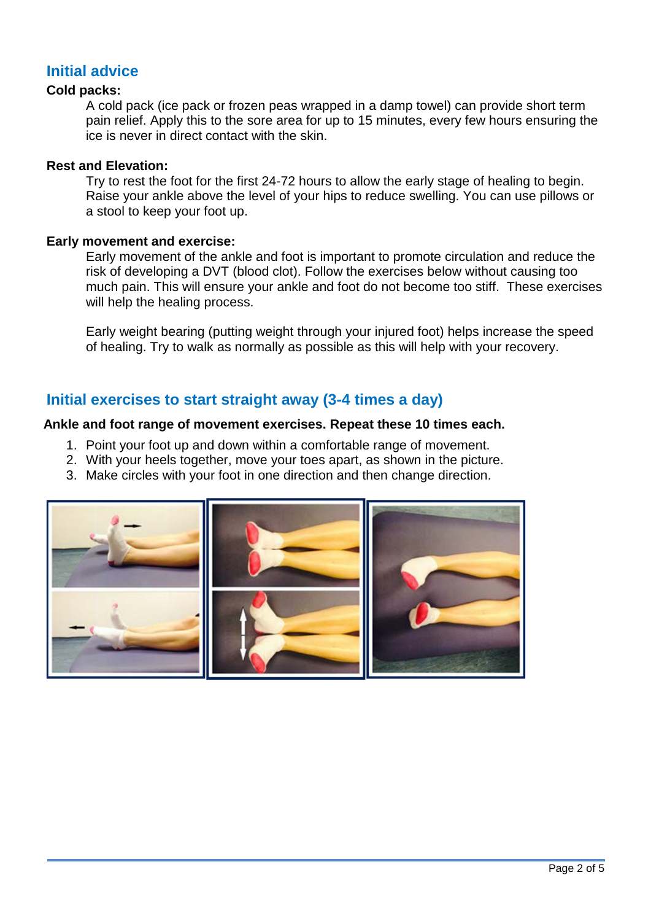# **Initial advice**

#### **Cold packs:**

A cold pack (ice pack or frozen peas wrapped in a damp towel) can provide short term pain relief. Apply this to the sore area for up to 15 minutes, every few hours ensuring the ice is never in direct contact with the skin.

#### **Rest and Elevation:**

Try to rest the foot for the first 24-72 hours to allow the early stage of healing to begin. Raise your ankle above the level of your hips to reduce swelling. You can use pillows or a stool to keep your foot up.

#### **Early movement and exercise:**

Early movement of the ankle and foot is important to promote circulation and reduce the risk of developing a DVT (blood clot). Follow the exercises below without causing too much pain. This will ensure your ankle and foot do not become too stiff. These exercises will help the healing process.

Early weight bearing (putting weight through your injured foot) helps increase the speed of healing. Try to walk as normally as possible as this will help with your recovery.

# **Initial exercises to start straight away (3-4 times a day)**

#### **Ankle and foot range of movement exercises. Repeat these 10 times each.**

- 1. Point your foot up and down within a comfortable range of movement.
- 2. With your heels together, move your toes apart, as shown in the picture.
- 3. Make circles with your foot in one direction and then change direction.

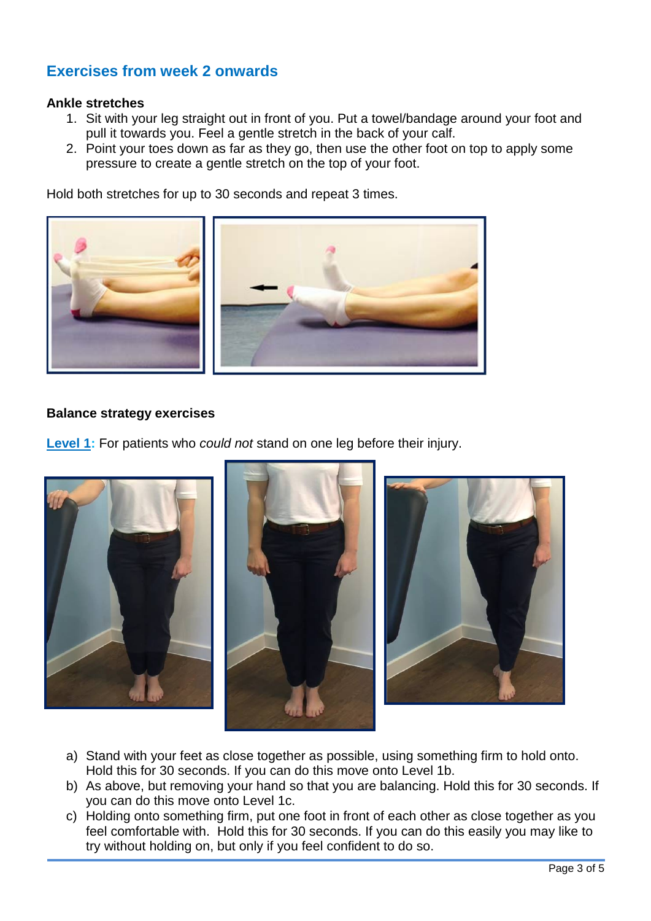# **Exercises from week 2 onwards**

#### **Ankle stretches**

- 1. Sit with your leg straight out in front of you. Put a towel/bandage around your foot and pull it towards you. Feel a gentle stretch in the back of your calf.
- 2. Point your toes down as far as they go, then use the other foot on top to apply some pressure to create a gentle stretch on the top of your foot.

Hold both stretches for up to 30 seconds and repeat 3 times.



#### **Balance strategy exercises**

**Level 1:** For patients who *could not* stand on one leg before their injury.



- a) Stand with your feet as close together as possible, using something firm to hold onto. Hold this for 30 seconds. If you can do this move onto Level 1b.
- b) As above, but removing your hand so that you are balancing. Hold this for 30 seconds. If you can do this move onto Level 1c.
- c) Holding onto something firm, put one foot in front of each other as close together as you feel comfortable with. Hold this for 30 seconds. If you can do this easily you may like to try without holding on, but only if you feel confident to do so.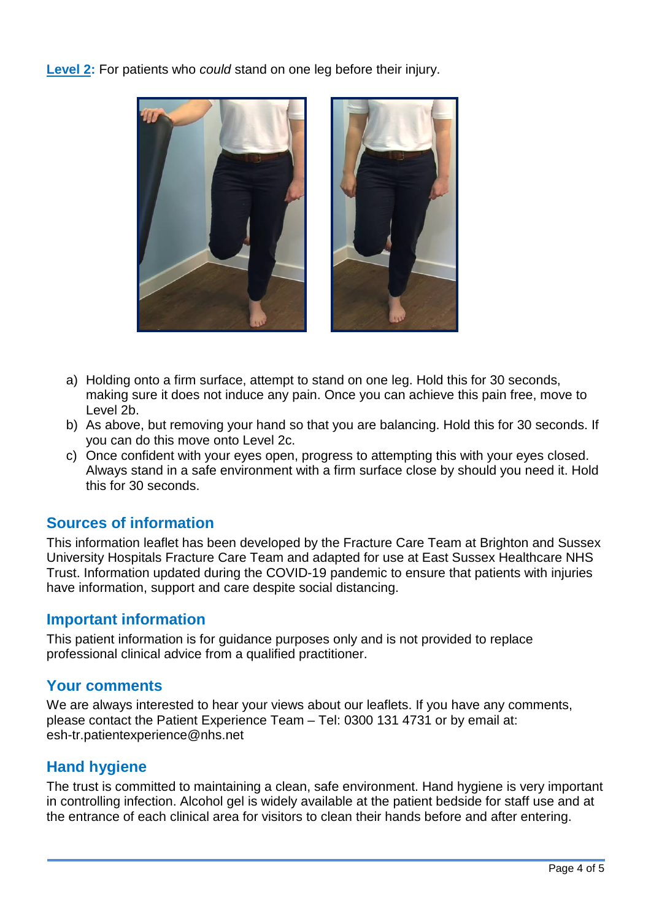**Level 2:** For patients who *could* stand on one leg before their injury.



- a) Holding onto a firm surface, attempt to stand on one leg. Hold this for 30 seconds, making sure it does not induce any pain. Once you can achieve this pain free, move to Level 2b.
- b) As above, but removing your hand so that you are balancing. Hold this for 30 seconds. If you can do this move onto Level 2c.
- c) Once confident with your eyes open, progress to attempting this with your eyes closed. Always stand in a safe environment with a firm surface close by should you need it. Hold this for 30 seconds.

## **Sources of information**

This information leaflet has been developed by the Fracture Care Team at Brighton and Sussex University Hospitals Fracture Care Team and adapted for use at East Sussex Healthcare NHS Trust. Information updated during the COVID-19 pandemic to ensure that patients with injuries have information, support and care despite social distancing.

## **Important information**

This patient information is for guidance purposes only and is not provided to replace professional clinical advice from a qualified practitioner.

## **Your comments**

We are always interested to hear your views about our leaflets. If you have any comments, please contact the Patient Experience Team – Tel: 0300 131 4731 or by email at: esh-tr.patientexperience@nhs.net

# **Hand hygiene**

The trust is committed to maintaining a clean, safe environment. Hand hygiene is very important in controlling infection. Alcohol gel is widely available at the patient bedside for staff use and at the entrance of each clinical area for visitors to clean their hands before and after entering.